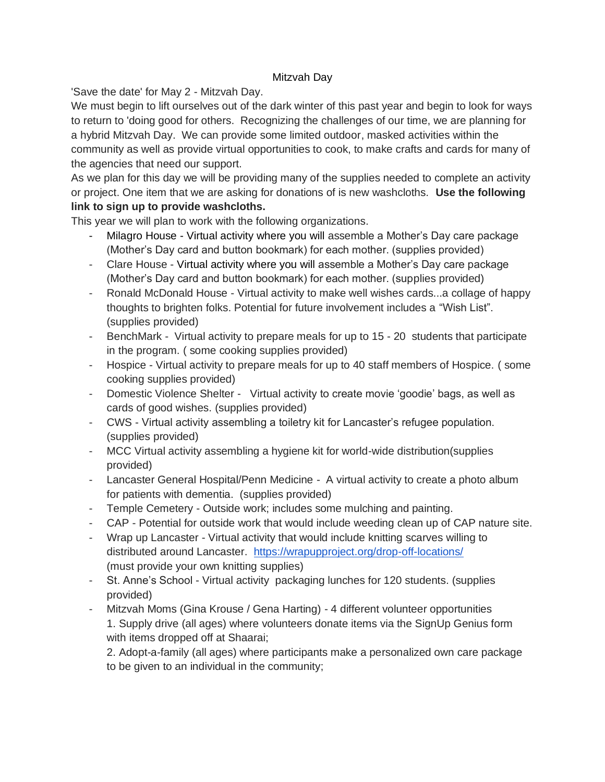## Mitzvah Day

'Save the date' for May 2 - Mitzvah Day.

We must begin to lift ourselves out of the dark winter of this past year and begin to look for ways to return to 'doing good for others. Recognizing the challenges of our time, we are planning for a hybrid Mitzvah Day. We can provide some limited outdoor, masked activities within the community as well as provide virtual opportunities to cook, to make crafts and cards for many of the agencies that need our support.

As we plan for this day we will be providing many of the supplies needed to complete an activity or project. One item that we are asking for donations of is new washcloths. **Use the following link to sign up to provide washcloths.**

This year we will plan to work with the following organizations.

- Milagro House Virtual activity where you will assemble a Mother's Day care package (Mother's Day card and button bookmark) for each mother. (supplies provided)
- Clare House Virtual activity where you will assemble a Mother's Day care package (Mother's Day card and button bookmark) for each mother. (supplies provided)
- Ronald McDonald House Virtual activity to make well wishes cards...a collage of happy thoughts to brighten folks. Potential for future involvement includes a "Wish List". (supplies provided)
- BenchMark Virtual activity to prepare meals for up to 15 20 students that participate in the program. ( some cooking supplies provided)
- Hospice Virtual activity to prepare meals for up to 40 staff members of Hospice. ( some cooking supplies provided)
- Domestic Violence Shelter Virtual activity to create movie 'goodie' bags, as well as cards of good wishes. (supplies provided)
- CWS Virtual activity assembling a toiletry kit for Lancaster's refugee population. (supplies provided)
- MCC Virtual activity assembling a hygiene kit for world-wide distribution(supplies provided)
- Lancaster General Hospital/Penn Medicine A virtual activity to create a photo album for patients with dementia. (supplies provided)
- Temple Cemetery Outside work; includes some mulching and painting.
- CAP Potential for outside work that would include weeding clean up of CAP nature site.
- Wrap up Lancaster Virtual activity that would include knitting scarves willing to distributed around Lancaster. <https://wrapupproject.org/drop-off-locations/> (must provide your own knitting supplies)
- St. Anne's School Virtual activity packaging lunches for 120 students. (supplies provided)
- Mitzvah Moms (Gina Krouse / Gena Harting) 4 different volunteer opportunities 1. Supply drive (all ages) where volunteers donate items via the SignUp Genius form with items dropped off at Shaarai;

2. Adopt-a-family (all ages) where participants make a personalized own care package to be given to an individual in the community;